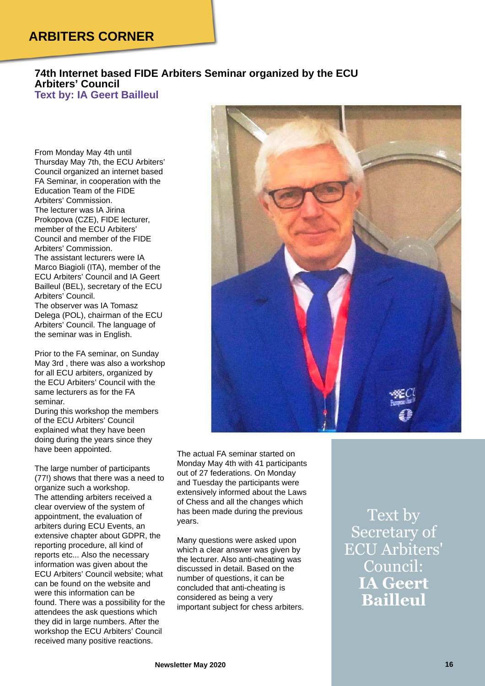## **ARBITERS CORNER**

## **74th Internet based FIDE Arbiters Seminar organized by the ECU Arbiters' Council Text by: IA Geert Bailleul**

From Monday May 4th until Thursday May 7th, the ECU Arbiters' Council organized an internet based FA Seminar, in cooperation with the Education Team of the FIDE Arbiters' Commission. The lecturer was IA Jirina Prokopova (CZE), FIDE lecturer, member of the ECU Arbiters' Council and member of the FIDE Arbiters' Commission. The assistant lecturers were IA Marco Biagioli (ITA), member of the ECU Arbiters' Council and IA Geert Bailleul (BEL), secretary of the ECU Arbiters' Council. The observer was IA Tomasz Delega (POL), chairman of the ECU Arbiters' Council. The language of the seminar was in English.

Prior to the FA seminar, on Sunday May 3rd , there was also a workshop for all ECU arbiters, organized by the ECU Arbiters' Council with the same lecturers as for the FA seminar.

During this workshop the members of the ECU Arbiters' Council explained what they have been doing during the years since they have been appointed.

The large number of participants (77!) shows that there was a need to organize such a workshop. The attending arbiters received a clear overview of the system of appointment, the evaluation of arbiters during ECU Events, an extensive chapter about GDPR, the reporting procedure, all kind of reports etc... Also the necessary information was given about the ECU Arbiters' Council website; what can be found on the website and were this information can be found. There was a possibility for the attendees the ask questions which they did in large numbers. After the workshop the ECU Arbiters' Council received many positive reactions.



The actual FA seminar started on Monday May 4th with 41 participants out of 27 federations. On Monday and Tuesday the participants were extensively informed about the Laws of Chess and all the changes which has been made during the previous years.

Many questions were asked upon which a clear answer was given by the lecturer. Also anti-cheating was discussed in detail. Based on the number of questions, it can be concluded that anti-cheating is considered as being a very important subject for chess arbiters.

Text by Secretary of ECU Arbiters' Council: **IA Geert Bailleul**